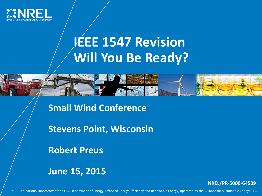

## **IEEE 1547 Revision Will You Be Ready?**



**Stevens Point, Wisconsin**

**Robert Preus**

**June 15, 2015**

**NREL/PR-5000-64509**

NREL is a national laboratory of the U.S. Department of Energy, Office of Energy Efficiency and Renewable Energy, operated by the Alliance for Sustainable Energy, LLC.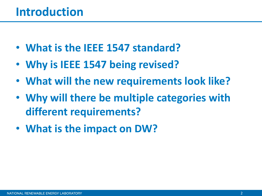- **What is the IEEE 1547 standard?**
- **Why is IEEE 1547 being revised?**
- **What will the new requirements look like?**
- **Why will there be multiple categories with different requirements?**
- **What is the impact on DW?**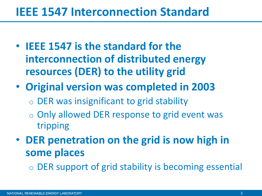#### **IEEE 1547 Interconnection Standard**

- **IEEE 1547 is the standard for the interconnection of distributed energy resources (DER) to the utility grid**
- **Original version was completed in 2003**
	- o DER was insignificant to grid stability
	- o Only allowed DER response to grid event was tripping
- **DER penetration on the grid is now high in some places**
	- o DER support of grid stability is becoming essential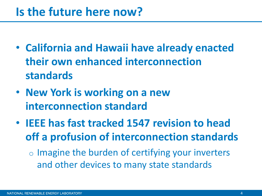#### **Is the future here now?**

- **California and Hawaii have already enacted their own enhanced interconnection standards**
- **New York is working on a new interconnection standard**
- **IEEE has fast tracked 1547 revision to head off a profusion of interconnection standards**

 $\circ$  Imagine the burden of certifying your inverters and other devices to many state standards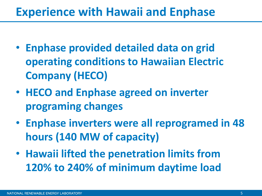#### **Experience with Hawaii and Enphase**

- **Enphase provided detailed data on grid operating conditions to Hawaiian Electric Company (HECO)**
- **HECO and Enphase agreed on inverter programing changes**
- **Enphase inverters were all reprogramed in 48 hours (140 MW of capacity)**
- **Hawaii lifted the penetration limits from 120% to 240% of minimum daytime load**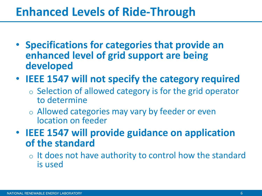#### **Enhanced Levels of Ride-Through**

- **Specifications for categories that provide an enhanced level of grid support are being developed**
- **IEEE 1547 will not specify the category required**
	- o Selection of allowed category is for the grid operator to determine
	- o Allowed categories may vary by feeder or even location on feeder

• **IEEE 1547 will provide guidance on application of the standard**

o It does not have authority to control how the standard is used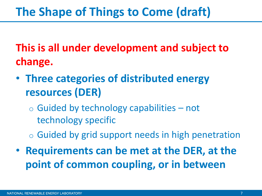## **The Shape of Things to Come (draft)**

**This is all under development and subject to change.**

- **Three categories of distributed energy resources (DER)**
	- $\circ$  Guided by technology capabilities not technology specific
	- o Guided by grid support needs in high penetration
- **Requirements can be met at the DER, at the point of common coupling, or in between**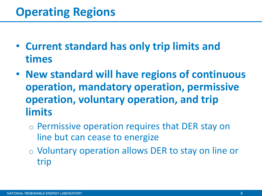- **Current standard has only trip limits and times**
- **New standard will have regions of continuous operation, mandatory operation, permissive operation, voluntary operation, and trip limits**
	- o Permissive operation requires that DER stay on line but can cease to energize
	- o Voluntary operation allows DER to stay on line or trip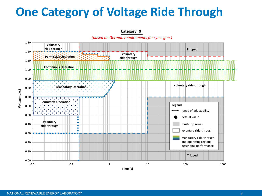## **One Category of Voltage Ride Through**

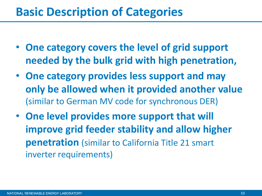#### **Basic Description of Categories**

- **One category covers the level of grid support needed by the bulk grid with high penetration,**
- **One category provides less support and may only be allowed when it provided another value**  (similar to German MV code for synchronous DER)
- **One level provides more support that will improve grid feeder stability and allow higher penetration** (similar to California Title 21 smart inverter requirements)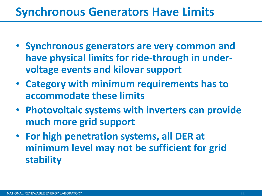#### **Synchronous Generators Have Limits**

- **Synchronous generators are very common and have physical limits for ride-through in undervoltage events and kilovar support**
- **Category with minimum requirements has to accommodate these limits**
- **Photovoltaic systems with inverters can provide much more grid support**
- **For high penetration systems, all DER at minimum level may not be sufficient for grid stability**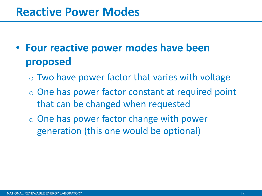#### **Reactive Power Modes**

- **Four reactive power modes have been proposed**
	- $\circ$  Two have power factor that varies with voltage
	- o One has power factor constant at required point that can be changed when requested
	- o One has power factor change with power generation (this one would be optional)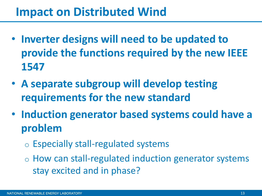#### **Impact on Distributed Wind**

- **Inverter designs will need to be updated to provide the functions required by the new IEEE 1547**
- **A separate subgroup will develop testing requirements for the new standard**
- **Induction generator based systems could have a problem**
	- o Especially stall-regulated systems
	- o How can stall-regulated induction generator systems stay excited and in phase?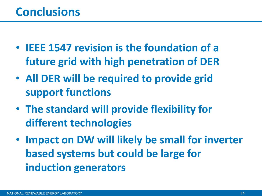- **IEEE 1547 revision is the foundation of a future grid with high penetration of DER**
- **All DER will be required to provide grid support functions**
- **The standard will provide flexibility for different technologies**
- **Impact on DW will likely be small for inverter based systems but could be large for induction generators**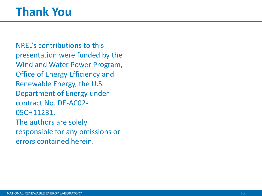## **Thank You**

NREL's contributions to this presentation were funded by the Wind and Water Power Program, Office of Energy Efficiency and Renewable Energy, the U.S. Department of Energy under contract No. DE-AC02- 05CH11231. The authors are solely responsible for any omissions or errors contained herein.